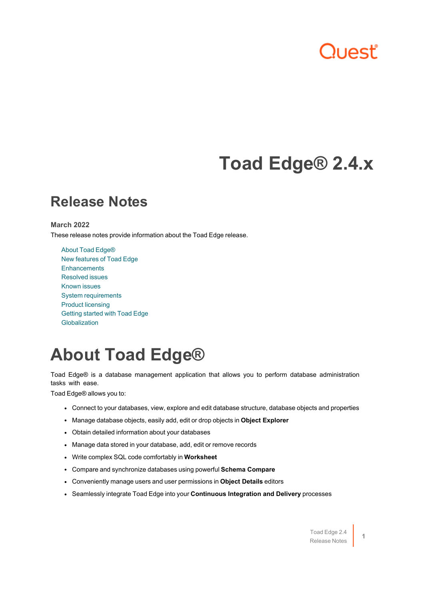# **Juest**

## **Toad Edge® 2.4.x**

### **Release Notes**

#### **March 2022**

These release notes provide information about the Toad Edge release.

About Toad [Edge®](#page-0-0) New [features](#page-1-0) of Toad Edge **[Enhancements](#page-2-0)** [Resolved](#page-2-1) issues [Known](#page-2-2) issues System [requirements](#page-3-0) Product [licensing](#page-5-0) [Getting](#page-7-0) started with Toad Edge [Globalization](#page-8-0)

## <span id="page-0-0"></span>**About Toad Edge®**

Toad Edge® is a database management application that allows you to perform database administration tasks with ease.

Toad Edge® allows you to:

- Connect to your databases, view, explore and edit database structure, database objects and properties
- <sup>l</sup> Manage database objects, easily add, edit or drop objects in **Object Explorer**
- Obtain detailed information about your databases
- Manage data stored in your database, add, edit or remove records
- **•** Write complex SQL code comfortably in **Worksheet**
- <sup>l</sup> Compare and synchronize databases using powerful **Schema Compare**
- <sup>l</sup> Conveniently manage users and user permissions in **Object Details** editors
- <sup>l</sup> Seamlessly integrate Toad Edge into your **Continuous Integration and Delivery** processes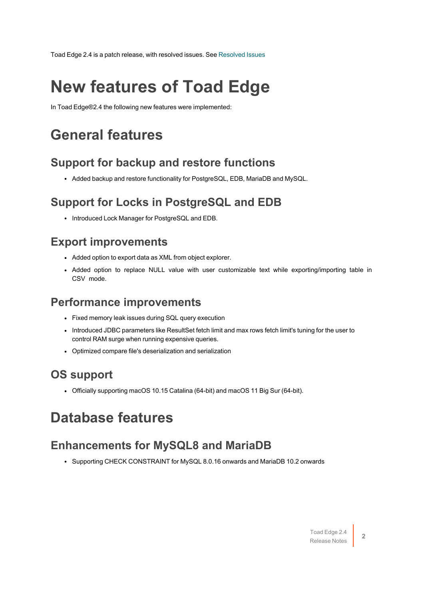<span id="page-1-0"></span>Toad Edge 2.4 is a patch release, with resolved issues. See [Resolved](#page-2-1) Issues

## **New features of Toad Edge**

In Toad Edge®2.4 the following new features were implemented:

## **General features**

#### **Support for backup and restore functions**

• Added backup and restore functionality for PostgreSQL, EDB, MariaDB and MySQL.

#### **Support for Locks in PostgreSQL and EDB**

• Introduced Lock Manager for PostgreSQL and EDB.

#### **Export improvements**

- Added option to export data as XML from object explorer.
- Added option to replace NULL value with user customizable text while exporting/importing table in CSV mode.

#### **Performance improvements**

- Fixed memory leak issues during SQL query execution
- Introduced JDBC parameters like ResultSet fetch limit and max rows fetch limit's tuning for the user to control RAM surge when running expensive queries.
- Optimized compare file's deserialization and serialization

### **OS support**

• Officially supporting macOS 10.15 Catalina (64-bit) and macOS 11 Big Sur (64-bit).

## **Database features**

### **Enhancements for MySQL8 and MariaDB**

• Supporting CHECK CONSTRAINT for MySQL 8.0.16 onwards and MariaDB 10.2 onwards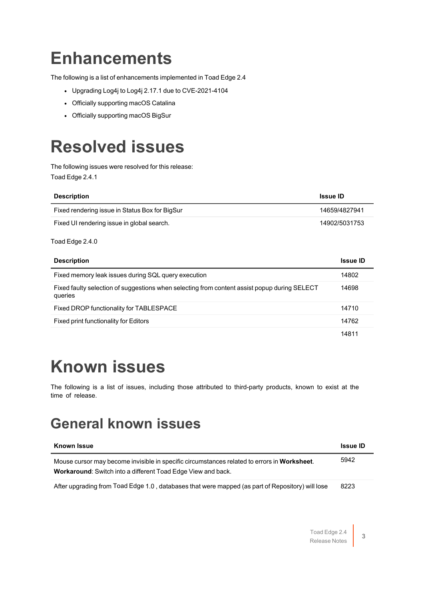## <span id="page-2-0"></span>**Enhancements**

The following is a list of enhancements implemented in Toad Edge 2.4

- Upgrading Log4j to Log4j 2.17.1 due to CVE-2021-4104
- Officially supporting macOS Catalina
- <span id="page-2-1"></span>• Officially supporting macOS BigSur

## **Resolved issues**

The following issues were resolved for this release: Toad Edge 2.4.1

| <b>Description</b>                             | <b>Issue ID</b> |
|------------------------------------------------|-----------------|
| Fixed rendering issue in Status Box for BigSur | 14659/4827941   |
| Fixed UI rendering issue in global search.     | 14902/5031753   |

#### Toad Edge 2.4.0

| <b>Description</b>                                                                                      | <b>Issue ID</b> |
|---------------------------------------------------------------------------------------------------------|-----------------|
| Fixed memory leak issues during SQL query execution                                                     | 14802           |
| Fixed faulty selection of suggestions when selecting from content assist popup during SELECT<br>queries | 14698           |
| Fixed DROP functionality for TABLESPACE                                                                 | 14710           |
| Fixed print functionality for Editors                                                                   | 14762           |
|                                                                                                         | 14811           |

## <span id="page-2-2"></span>**Known issues**

The following is a list of issues, including those attributed to third-party products, known to exist at the time of release.

### **General known issues**

| <b>Known Issue</b>                                                                                                                                                 | <b>Issue ID</b> |
|--------------------------------------------------------------------------------------------------------------------------------------------------------------------|-----------------|
| Mouse cursor may become invisible in specific circumstances related to errors in Worksheet.<br><b>Workaround:</b> Switch into a different Toad Edge View and back. | 5942            |
| After upgrading from Toad Edge 1.0, databases that were mapped (as part of Repository) will lose                                                                   | 8223            |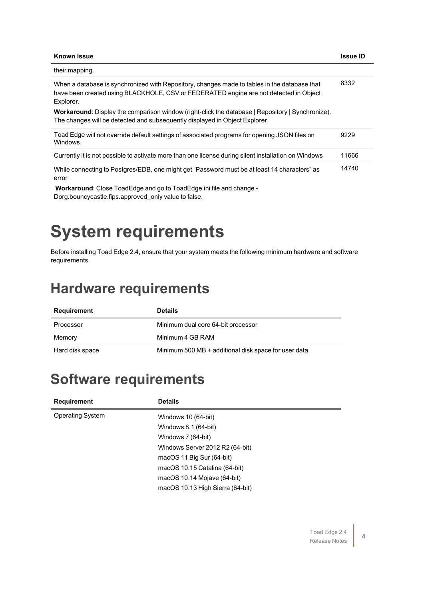| <b>Known Issue</b>                                                                                                                                                                                 | <b>Issue ID</b> |
|----------------------------------------------------------------------------------------------------------------------------------------------------------------------------------------------------|-----------------|
| their mapping.                                                                                                                                                                                     |                 |
| When a database is synchronized with Repository, changes made to tables in the database that<br>have been created using BLACKHOLE, CSV or FEDERATED engine are not detected in Object<br>Explorer. | 8332            |
| <b>Workaround:</b> Display the comparison window (right-click the database   Repository   Synchronize).<br>The changes will be detected and subsequently displayed in Object Explorer.             |                 |
| Toad Edge will not override default settings of associated programs for opening JSON files on<br>Windows.                                                                                          | 9229            |
| Currently it is not possible to activate more than one license during silent installation on Windows                                                                                               | 11666           |
| While connecting to Postgres/EDB, one might get "Password must be at least 14 characters" as<br>error                                                                                              | 14740           |
| <b>Workaround:</b> Close ToadEdge and go to ToadEdge.ini file and change -                                                                                                                         |                 |

<span id="page-3-0"></span>Dorg.bouncycastle.fips.approved\_only value to false.

# **System requirements**

Before installing Toad Edge 2.4, ensure that your system meets the following minimum hardware and software requirements.

## **Hardware requirements**

| Requirement     | <b>Details</b>                                       |
|-----------------|------------------------------------------------------|
| Processor       | Minimum dual core 64-bit processor                   |
| Memory          | Minimum 4 GB RAM                                     |
| Hard disk space | Minimum 500 MB + additional disk space for user data |

### **Software requirements**

| <b>Details</b>                   |
|----------------------------------|
| Windows 10 (64-bit)              |
| Windows 8.1 (64-bit)             |
| Windows 7 (64-bit)               |
| Windows Server 2012 R2 (64-bit)  |
| macOS 11 Big Sur (64-bit)        |
| macOS 10.15 Catalina (64-bit)    |
| macOS 10.14 Mojave (64-bit)      |
| macOS 10.13 High Sierra (64-bit) |
|                                  |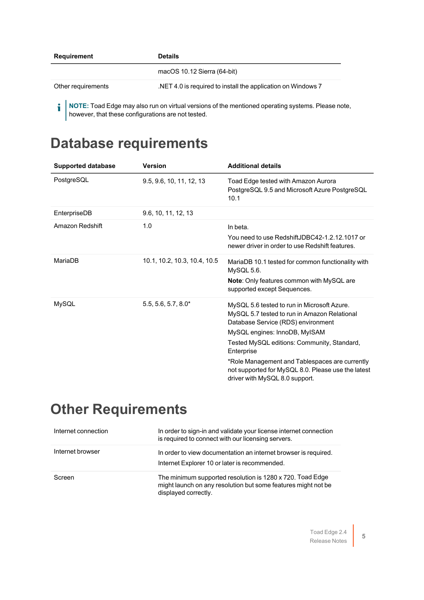| Requirement        | <b>Details</b>                                                                                      |
|--------------------|-----------------------------------------------------------------------------------------------------|
|                    | macOS 10.12 Sierra (64-bit)                                                                         |
| Other requirements | NET 4.0 is required to install the application on Windows 7                                         |
|                    | • NOTE: Toad Edge may also run on virtual versions of the mentioned operating systems. Please note, |

**Database requirements**

however, that these configurations are not tested.

| <b>Supported database</b> | <b>Version</b>               | <b>Additional details</b>                                                                                                                                                                                                                                                                                                                                                 |
|---------------------------|------------------------------|---------------------------------------------------------------------------------------------------------------------------------------------------------------------------------------------------------------------------------------------------------------------------------------------------------------------------------------------------------------------------|
| PostgreSQL                | 9.5, 9.6, 10, 11, 12, 13     | Toad Edge tested with Amazon Aurora<br>PostgreSQL 9.5 and Microsoft Azure PostgreSQL<br>10.1                                                                                                                                                                                                                                                                              |
| EnterpriseDB              | 9.6, 10, 11, 12, 13          |                                                                                                                                                                                                                                                                                                                                                                           |
| Amazon Redshift           | 1.0                          | In beta.<br>You need to use RedshiftJDBC42-1.2.12.1017 or<br>newer driver in order to use Redshift features.                                                                                                                                                                                                                                                              |
| MariaDB                   | 10.1, 10.2, 10.3, 10.4, 10.5 | MariaDB 10.1 tested for common functionality with<br>MySQL 5.6.<br><b>Note:</b> Only features common with MySQL are<br>supported except Sequences.                                                                                                                                                                                                                        |
| <b>MySQL</b>              | $5.5, 5.6, 5.7, 8.0*$        | MySQL 5.6 tested to run in Microsoft Azure.<br>MySQL 5.7 tested to run in Amazon Relational<br>Database Service (RDS) environment<br>MySQL engines: InnoDB, MyISAM<br>Tested MySQL editions: Community, Standard,<br>Enterprise<br>*Role Management and Tablespaces are currently<br>not supported for MySQL 8.0. Please use the latest<br>driver with MySQL 8.0 support. |

## **Other Requirements**

| Internet connection | In order to sign-in and validate your license internet connection<br>is required to connect with our licensing servers.                            |
|---------------------|----------------------------------------------------------------------------------------------------------------------------------------------------|
| Internet browser    | In order to view documentation an internet browser is required.<br>Internet Explorer 10 or later is recommended.                                   |
| Screen              | The minimum supported resolution is 1280 x 720. Toad Edge<br>might launch on any resolution but some features might not be<br>displayed correctly. |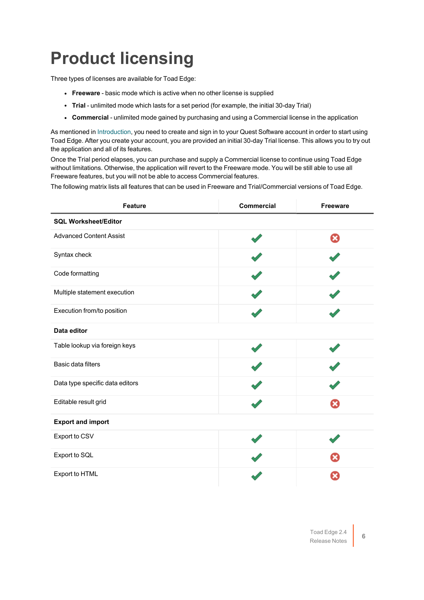# <span id="page-5-0"></span>**Product licensing**

Three types of licenses are available for Toad Edge:

- **Freeware** basic mode which is active when no other license is supplied
- **Trial** unlimited mode which lasts for a set period (for example, the initial 30-day Trial)
- <sup>l</sup> **Commercial** unlimited mode gained by purchasing and using a Commercial license in the application

As mentioned in [Introduction,](../../../../../Content/Installation Guide/Introduction.htm) you need to create and sign in to your Quest Software account in order to start using Toad Edge. After you create your account, you are provided an initial 30-day Trial license. This allows you to try out the application and all of its features.

Once the Trial period elapses, you can purchase and supply a Commercial license to continue using Toad Edge without limitations. Otherwise, the application will revert to the Freeware mode. You will be still able to use all Freeware features, but you will not be able to access Commercial features.

The following matrix lists all features that can be used in Freeware and Trial/Commercial versions of Toad Edge.

| <b>Feature</b>                  | <b>Commercial</b> | Freeware |
|---------------------------------|-------------------|----------|
| <b>SQL Worksheet/Editor</b>     |                   |          |
| <b>Advanced Content Assist</b>  |                   | ఴ        |
| Syntax check                    |                   |          |
| Code formatting                 |                   |          |
| Multiple statement execution    |                   |          |
| Execution from/to position      |                   |          |
| Data editor                     |                   |          |
| Table lookup via foreign keys   |                   |          |
| Basic data filters              |                   |          |
| Data type specific data editors |                   |          |
| Editable result grid            |                   |          |
| <b>Export and import</b>        |                   |          |
| Export to CSV                   |                   |          |
| Export to SQL                   |                   |          |
| Export to HTML                  |                   |          |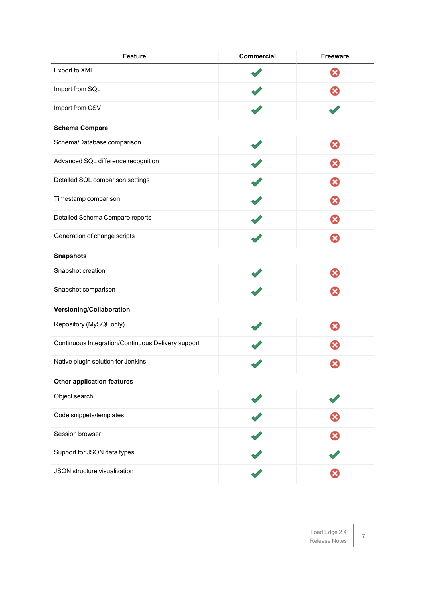| <b>Feature</b>                                     | <b>Commercial</b> | <b>Freeware</b> |
|----------------------------------------------------|-------------------|-----------------|
| Export to XML                                      |                   | x               |
| Import from SQL                                    |                   |                 |
| Import from CSV                                    |                   |                 |
| <b>Schema Compare</b>                              |                   |                 |
| Schema/Database comparison                         |                   | ఴ               |
| Advanced SQL difference recognition                |                   | Ø               |
| Detailed SQL comparison settings                   |                   | Ω               |
| Timestamp comparison                               |                   | ×               |
| Detailed Schema Compare reports                    |                   | ×               |
| Generation of change scripts                       |                   | ×               |
| <b>Snapshots</b>                                   |                   |                 |
| Snapshot creation                                  |                   | ణ               |
| Snapshot comparison                                |                   | ఴ               |
| Versioning/Collaboration                           |                   |                 |
| Repository (MySQL only)                            |                   | ఴ               |
| Continuous Integration/Continuous Delivery support |                   |                 |
| Native plugin solution for Jenkins                 |                   | ×               |
| <b>Other application features</b>                  |                   |                 |
| Object search                                      |                   |                 |
| Code snippets/templates                            |                   |                 |
| Session browser                                    |                   |                 |
| Support for JSON data types                        |                   |                 |
| JSON structure visualization                       |                   |                 |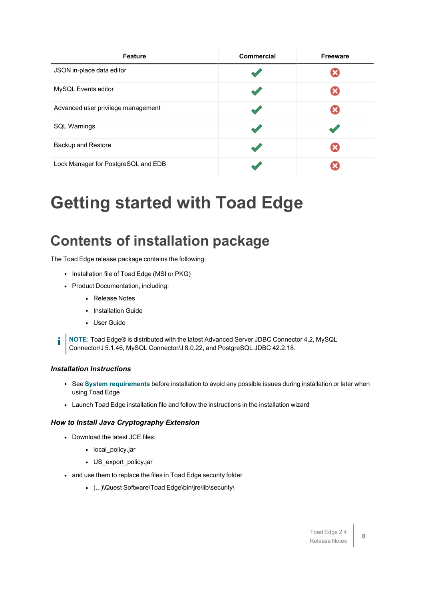| <b>Feature</b>                      | Commercial | <b>Freeware</b> |
|-------------------------------------|------------|-----------------|
| JSON in-place data editor           |            |                 |
| MySQL Events editor                 |            |                 |
| Advanced user privilege management  |            |                 |
| <b>SQL Warnings</b>                 |            |                 |
| <b>Backup and Restore</b>           |            |                 |
| Lock Manager for PostgreSQL and EDB |            |                 |

## <span id="page-7-0"></span>**Getting started with Toad Edge**

## **Contents of installation package**

The Toad Edge release package contains the following:

- Installation file of Toad Edge (MSI or PKG)
- Product Documentation, including:
	- Release Notes
	- Installation Guide
	- User Guide
- **NOTE:** Toad Edge® is distributed with the latest Advanced Server JDBC Connector 4.2, MySQL i Connector/J 5.1.46, MySQL Connector/J 8.0.22, and PostgreSQL JDBC 42.2.18.

#### *Installation Instructions*

- **-** See System [requirements](#page-3-0) before installation to avoid any possible issues during installation or later when using Toad Edge
- Launch Toad Edge installation file and follow the instructions in the installation wizard

#### *How to Install Java Cryptography Extension*

- Download the latest JCE files:
	- local policy.jar
	- US\_export\_policy.jar
- and use them to replace the files in Toad Edge security folder
	- <sup>l</sup> (...)\Quest Software\Toad Edge\bin\jre\lib\security\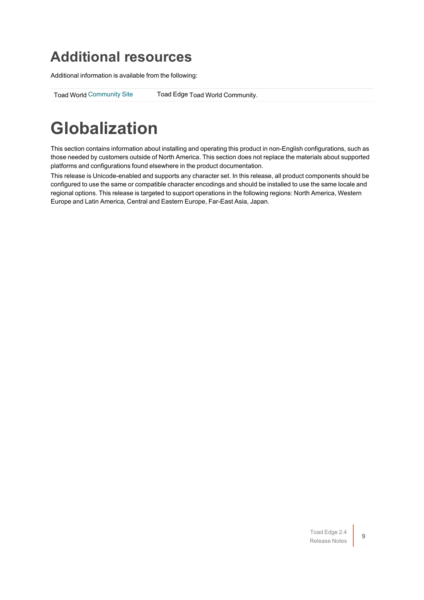## **Additional resources**

Additional information is available from the following:

<span id="page-8-0"></span>Toad World [Community](https://www.toadworld.com/products/toad-edge/) Site Toad Edge Toad World Community.

## **Globalization**

This section contains information about installing and operating this product in non-English configurations, such as those needed by customers outside of North America. This section does not replace the materials about supported platforms and configurations found elsewhere in the product documentation.

This release is Unicode-enabled and supports any character set. In this release, all product components should be configured to use the same or compatible character encodings and should be installed to use the same locale and regional options. This release is targeted to support operations in the following regions: North America, Western Europe and Latin America, Central and Eastern Europe, Far-East Asia, Japan.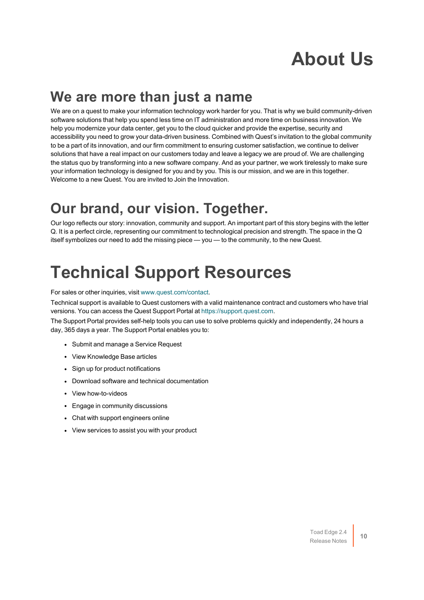# **About Us**

### **We are more than just a name**

We are on a quest to make your information technology work harder for you. That is why we build community-driven software solutions that help you spend less time on IT administration and more time on business innovation. We help you modernize your data center, get you to the cloud quicker and provide the expertise, security and accessibility you need to grow your data-driven business. Combined with Quest's invitation to the global community to be a part of its innovation, and our firm commitment to ensuring customer satisfaction, we continue to deliver solutions that have a real impact on our customers today and leave a legacy we are proud of. We are challenging the status quo by transforming into a new software company. And as your partner, we work tirelessly to make sure your information technology is designed for you and by you. This is our mission, and we are in this together. Welcome to a new Quest. You are invited to Join the Innovation.

## **Our brand, our vision. Together.**

Our logo reflects our story: innovation, community and support. An important part of this story begins with the letter Q. It is a perfect circle, representing our commitment to technological precision and strength. The space in the Q itself symbolizes our need to add the missing piece — you — to the community, to the new Quest.

# **Technical Support Resources**

For sales or other inquiries, visit [www.quest.com/contact.](https://www.quest.com/contact)

Technical support is available to Quest customers with a valid maintenance contract and customers who have trial versions. You can access the Quest Support Portal at [https://support.quest.com.](https://support.quest.com/)

The Support Portal provides self-help tools you can use to solve problems quickly and independently, 24 hours a day, 365 days a year. The Support Portal enables you to:

- Submit and manage a Service Request
- View Knowledge Base articles
- Sign up for product notifications
- Download software and technical documentation
- View how-to-videos
- Engage in community discussions
- Chat with support engineers online
- View services to assist you with your product